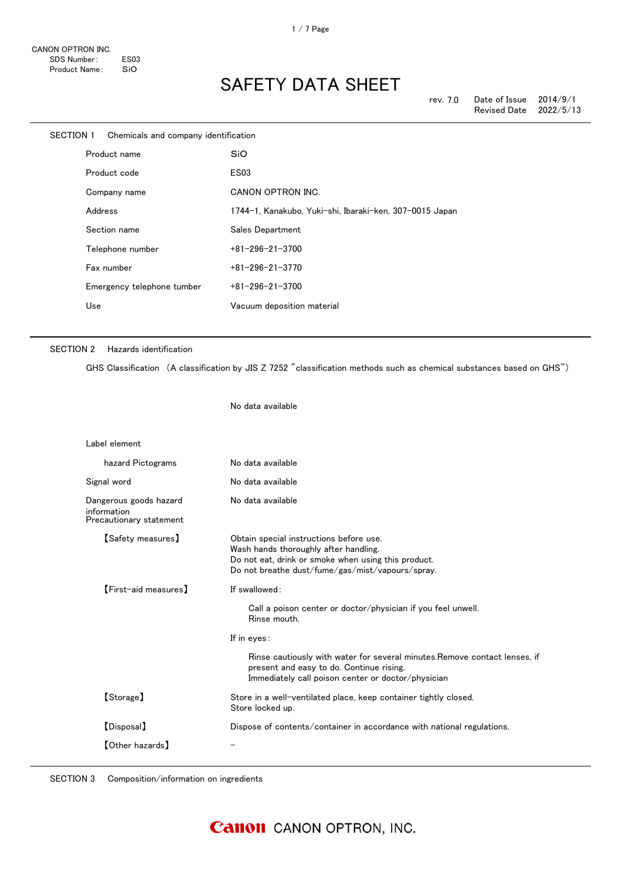| SECTION 1<br>Chemicals and company identification |                            |                                                         |
|---------------------------------------------------|----------------------------|---------------------------------------------------------|
|                                                   | Product name               | SiO                                                     |
|                                                   | Product code               | <b>ES03</b>                                             |
|                                                   | Company name               | <b>CANON OPTRON INC.</b>                                |
|                                                   | Address                    | 1744-1, Kanakubo, Yuki-shi, Ibaraki-ken, 307-0015 Japan |
|                                                   | Section name               | Sales Department                                        |
|                                                   | Telephone number           | $+81 - 296 - 21 - 3700$                                 |
|                                                   | Fax number                 | $+81 - 296 - 21 - 3770$                                 |
|                                                   | Emergency telephone tumber | $+81 - 296 - 21 - 3700$                                 |
|                                                   | Use                        | Vacuum deposition material                              |
|                                                   |                            |                                                         |

#### SECTION 2 Hazards identification

GHS Classification (A classification by JIS Z 7252 "classification methods such as chemical substances based on GHS")

No data available

| Label element                                                    |                                                                                                                                                                                                                                                                                              |
|------------------------------------------------------------------|----------------------------------------------------------------------------------------------------------------------------------------------------------------------------------------------------------------------------------------------------------------------------------------------|
| hazard Pictograms                                                | No data available                                                                                                                                                                                                                                                                            |
| Signal word                                                      | No data available                                                                                                                                                                                                                                                                            |
| Dangerous goods hazard<br>information<br>Precautionary statement | No data available                                                                                                                                                                                                                                                                            |
| 【Safety measures】                                                | Obtain special instructions before use.<br>Wash hands thoroughly after handling.<br>Do not eat, drink or smoke when using this product.<br>Do not breathe dust/fume/gas/mist/vapours/spray.                                                                                                  |
| [First-aid measures]                                             | If swallowed:<br>Call a poison center or doctor/physician if you feel unwell.<br>Rinse mouth.<br>If in eyes:<br>Rinse cautiously with water for several minutes. Remove contact lenses, if<br>present and easy to do. Continue rising.<br>Immediately call poison center or doctor/physician |
| [Storage]                                                        | Store in a well-ventilated place, keep container tightly closed.<br>Store locked up.                                                                                                                                                                                                         |
| [Disposal]                                                       | Dispose of contents/container in accordance with national regulations.                                                                                                                                                                                                                       |
| [Other hazards]                                                  |                                                                                                                                                                                                                                                                                              |

SECTION 3 Composition/information on ingredients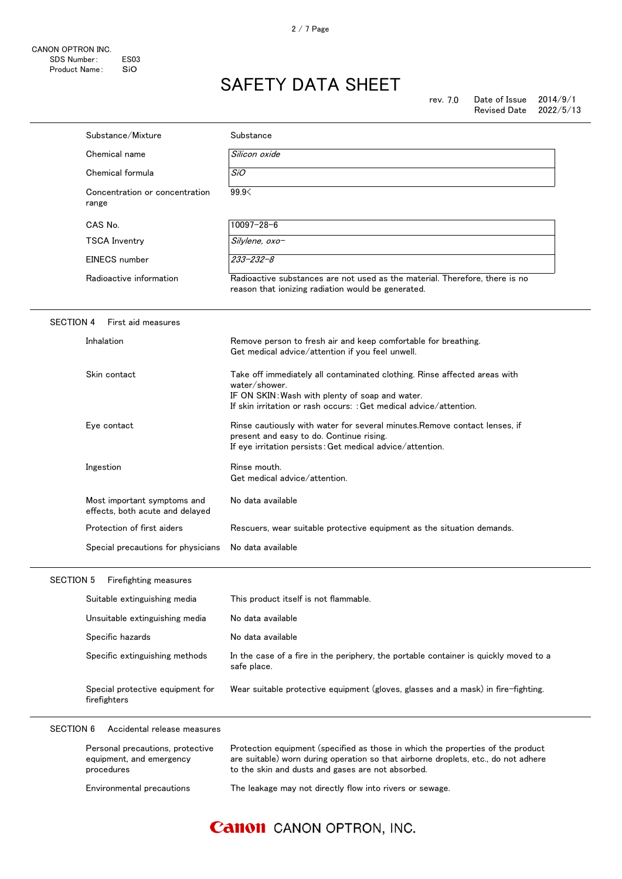|                  | Substance/Mixture                                                          | Substance                                                                                                                                                                                                                  |
|------------------|----------------------------------------------------------------------------|----------------------------------------------------------------------------------------------------------------------------------------------------------------------------------------------------------------------------|
|                  | Chemical name                                                              | Silicon oxide                                                                                                                                                                                                              |
|                  | Chemical formula                                                           | SiO                                                                                                                                                                                                                        |
| range            | Concentration or concentration                                             | 99.9                                                                                                                                                                                                                       |
|                  | CAS No.                                                                    | $10097 - 28 - 6$                                                                                                                                                                                                           |
|                  | <b>TSCA Inventry</b>                                                       | Silylene, oxo-                                                                                                                                                                                                             |
|                  | EINECS number                                                              | $233 - 232 - 8$                                                                                                                                                                                                            |
|                  | Radioactive information                                                    | Radioactive substances are not used as the material. Therefore, there is no<br>reason that ionizing radiation would be generated.                                                                                          |
| <b>SECTION 4</b> | First aid measures                                                         |                                                                                                                                                                                                                            |
|                  | Inhalation                                                                 | Remove person to fresh air and keep comfortable for breathing.<br>Get medical advice/attention if you feel unwell.                                                                                                         |
|                  | Skin contact                                                               | Take off immediately all contaminated clothing. Rinse affected areas with<br>water/shower.<br>IF ON SKIN: Wash with plenty of soap and water.<br>If skin irritation or rash occurs: : Get medical advice/attention.        |
|                  | Eye contact                                                                | Rinse cautiously with water for several minutes. Remove contact lenses, if<br>present and easy to do. Continue rising.<br>If eye irritation persists: Get medical advice/attention.                                        |
|                  | Ingestion                                                                  | Rinse mouth.<br>Get medical advice/attention.                                                                                                                                                                              |
|                  | Most important symptoms and<br>effects, both acute and delayed             | No data available                                                                                                                                                                                                          |
|                  | Protection of first aiders                                                 | Rescuers, wear suitable protective equipment as the situation demands.                                                                                                                                                     |
|                  | Special precautions for physicians                                         | No data available                                                                                                                                                                                                          |
| <b>SECTION 5</b> | Firefighting measures                                                      |                                                                                                                                                                                                                            |
|                  | Suitable extinguishing media                                               | This product itself is not flammable.                                                                                                                                                                                      |
|                  | Unsuitable extinguishing media                                             | No data available                                                                                                                                                                                                          |
|                  | Specific hazards                                                           | No data available                                                                                                                                                                                                          |
|                  | Specific extinguishing methods                                             | In the case of a fire in the periphery, the portable container is quickly moved to a<br>safe place.                                                                                                                        |
|                  | Special protective equipment for<br>firefighters                           | Wear suitable protective equipment (gloves, glasses and a mask) in fire-fighting.                                                                                                                                          |
| <b>SECTION 6</b> | Accidental release measures                                                |                                                                                                                                                                                                                            |
|                  | Personal precautions, protective<br>equipment, and emergency<br>procedures | Protection equipment (specified as those in which the properties of the product<br>are suitable) worn during operation so that airborne droplets, etc., do not adhere<br>to the skin and dusts and gases are not absorbed. |
|                  | Environmental precautions                                                  | The leakage may not directly flow into rivers or sewage.                                                                                                                                                                   |

## **Canon** CANON OPTRON, INC.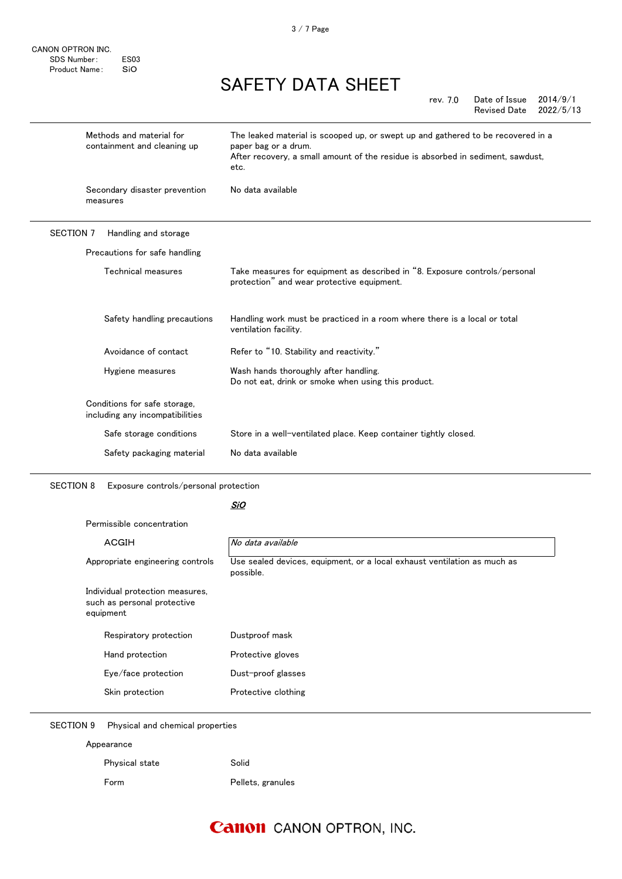CANON OPTRON INC. SDS Number: ES03 Product Name: SiO

# SAFETY DATA SHEET

|                  |                                                                 | 2014/9/1<br>Date of Issue<br>rev. 7.0<br><b>Revised Date</b><br>2022/5/13                                                                                                                           |
|------------------|-----------------------------------------------------------------|-----------------------------------------------------------------------------------------------------------------------------------------------------------------------------------------------------|
|                  | Methods and material for<br>containment and cleaning up         | The leaked material is scooped up, or swept up and gathered to be recovered in a<br>paper bag or a drum.<br>After recovery, a small amount of the residue is absorbed in sediment, sawdust,<br>etc. |
|                  | Secondary disaster prevention<br>measures                       | No data available                                                                                                                                                                                   |
| <b>SECTION 7</b> | Handling and storage                                            |                                                                                                                                                                                                     |
|                  | Precautions for safe handling                                   |                                                                                                                                                                                                     |
|                  | Technical measures                                              | Take measures for equipment as described in "8. Exposure controls/personal<br>protection" and wear protective equipment.                                                                            |
|                  | Safety handling precautions                                     | Handling work must be practiced in a room where there is a local or total<br>ventilation facility.                                                                                                  |
|                  | Avoidance of contact                                            | Refer to "10. Stability and reactivity."                                                                                                                                                            |
|                  | Hygiene measures                                                | Wash hands thoroughly after handling.<br>Do not eat, drink or smoke when using this product.                                                                                                        |
|                  | Conditions for safe storage,<br>including any incompatibilities |                                                                                                                                                                                                     |

Safe storage conditions Store in a well-ventilated place. Keep container tightly closed.

Safety packaging material No data available

SECTION 8 Exposure controls/personal protection

#### <u>SiO</u>

Permissible concentration

| No data available                                                                     |
|---------------------------------------------------------------------------------------|
| Use sealed devices, equipment, or a local exhaust ventilation as much as<br>possible. |
|                                                                                       |
| Dustproof mask                                                                        |
| Protective gloves                                                                     |
| Dust-proof glasses                                                                    |
| Protective clothing                                                                   |
|                                                                                       |

SECTION 9 Physical and chemical properties

Appearance

| Physical state | Solid             |
|----------------|-------------------|
| Form           | Pellets, granules |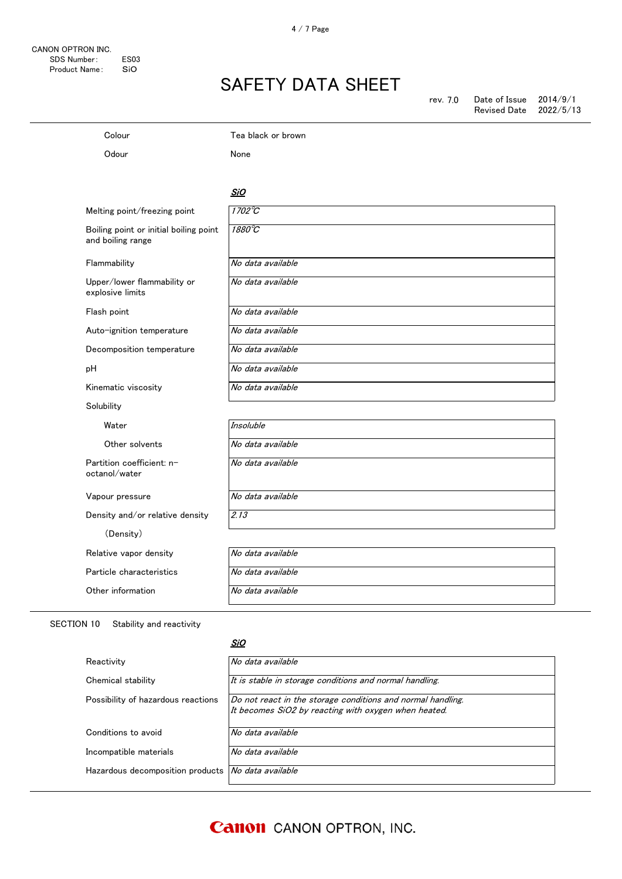### Colour Tea black or brown Odour None <u>SiO</u> Melting point/freezing point  $\sqrt{1702^{\circ}\text{C}}$ Boiling point or initial boiling point and boiling range 1880℃ Flammability  $|No \text{ data available}|$ Upper/lower flammability or explosive limits No data available Flash point Mo data available Auto-ignition temperature | No data available Decomposition temperature No data available pH  $|No data available$ Kinematic viscosity No data available Solubility Water Insoluble Other solvents No data available Partition coefficient: noctanol/water No data available Vapour pressure No data available Density and/or relative density  $\sqrt{2.13}$ (Density) Relative vapor density  $\big|$  No data available Particle characteristics No data available Other information No data available

#### SECTION 10 Stability and reactivity

#### <u>SiO</u>

| Reactivity                                                | No data available                                                                                                   |
|-----------------------------------------------------------|---------------------------------------------------------------------------------------------------------------------|
| Chemical stability                                        | It is stable in storage conditions and normal handling.                                                             |
| Possibility of hazardous reactions                        | Do not react in the storage conditions and normal handling.<br>It becomes SiO2 by reacting with oxygen when heated. |
| Conditions to avoid                                       | No data available                                                                                                   |
| Incompatible materials                                    | No data available                                                                                                   |
| Hazardous decomposition products <i>No data available</i> |                                                                                                                     |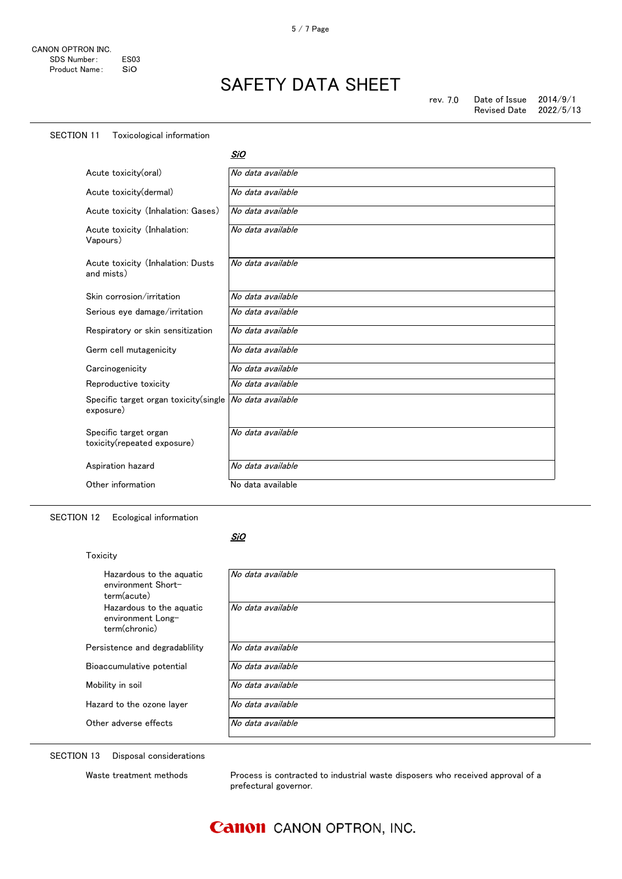### SECTION 11 Toxicological information

<u>SiO</u>

| Acute toxicity(oral)                                 | No data available |
|------------------------------------------------------|-------------------|
| Acute toxicity(dermal)                               | No data available |
| Acute toxicity (Inhalation: Gases)                   | No data available |
| Acute toxicity (Inhalation:<br>Vapours)              | No data available |
| Acute toxicity (Inhalation: Dusts<br>and mists)      | No data available |
| Skin corrosion/irritation                            | No data available |
| Serious eye damage/irritation                        | No data available |
| Respiratory or skin sensitization                    | No data available |
| Germ cell mutagenicity                               | No data available |
| Carcinogenicity                                      | No data available |
| Reproductive toxicity                                | No data available |
| Specific target organ toxicity (single<br>exposure)  | No data available |
| Specific target organ<br>toxicity(repeated exposure) | No data available |
| Aspiration hazard                                    | No data available |
| Other information                                    | No data available |

### SECTION 12 Ecological information

#### <u>SiO</u>

 $\mathsf{l}$ 

| Toxicity                                                       |                   |
|----------------------------------------------------------------|-------------------|
| Hazardous to the aguatic<br>environment Short-<br>term(acute)  | No data available |
| Hazardous to the aquatic<br>environment Long-<br>term(chronic) | No data available |
| Persistence and degradability                                  | No data available |
| Bioaccumulative potential                                      | No data available |
| Mobility in soil                                               | No data available |
| Hazard to the ozone layer                                      | No data available |
| Other adverse effects                                          | No data available |

SECTION 13 Disposal considerations

Waste treatment methods Process is contracted to industrial waste disposers who received approval of a prefectural governor.

### **Canon** CANON OPTRON, INC.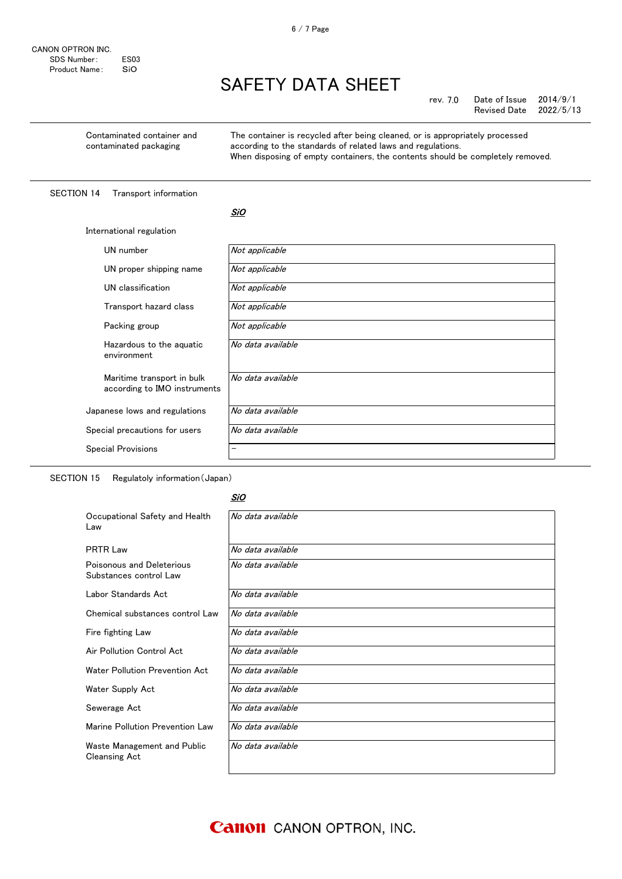| rev. 7.0 | Date of Issue       | 2014/9/1  |
|----------|---------------------|-----------|
|          | <b>Revised Date</b> | 2022/5/13 |

Contaminated container and contaminated packaging

The container is recycled after being cleaned, or is appropriately processed according to the standards of related laws and regulations. When disposing of empty containers, the contents should be completely removed.

#### SECTION 14 Transport information

|--|

| International regulation                                   |                          |  |
|------------------------------------------------------------|--------------------------|--|
| UN number                                                  | Not applicable           |  |
| UN proper shipping name                                    | Not applicable           |  |
| UN classification                                          | Not applicable           |  |
| Transport hazard class                                     | Not applicable           |  |
| Packing group                                              | Not applicable           |  |
| Hazardous to the aguatic<br>environment                    | No data available        |  |
| Maritime transport in bulk<br>according to IMO instruments | No data available        |  |
| Japanese lows and regulations                              | No data available        |  |
| Special precautions for users                              | No data available        |  |
| <b>Special Provisions</b>                                  | $\overline{\phantom{0}}$ |  |

SECTION 15 Regulatoly information(Japan)

#### <u>SiO</u>

| Occupational Safety and Health<br>Law               | No data available |
|-----------------------------------------------------|-------------------|
| <b>PRTR Law</b>                                     | No data available |
| Poisonous and Deleterious<br>Substances control Law | No data available |
| Labor Standards Act                                 | No data available |
| Chemical substances control Law                     | No data available |
| Fire fighting Law                                   | No data available |
| Air Pollution Control Act                           | No data available |
| Water Pollution Prevention Act                      | No data available |
| Water Supply Act                                    | No data available |
| Sewerage Act                                        | No data available |
| Marine Pollution Prevention Law                     | No data available |
| Waste Management and Public<br><b>Cleansing Act</b> | No data available |